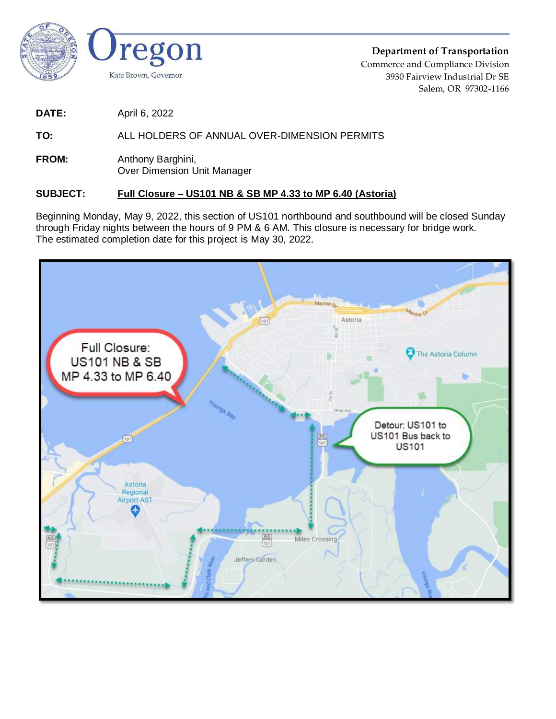

**Department of Transportation** Commerce and Compliance Division 3930 Fairview Industrial Dr SE Salem, OR 97302-1166

**DATE:** April 6, 2022

**TO:** ALL HOLDERS OF ANNUAL OVER-DIMENSION PERMITS

**FROM:** Anthony Barghini, Over Dimension Unit Manager

## **SUBJECT: Full Closure – US101 NB & SB MP 4.33 to MP 6.40 (Astoria)**

Beginning Monday, May 9, 2022, this section of US101 northbound and southbound will be closed Sunday through Friday nights between the hours of 9 PM & 6 AM. This closure is necessary for bridge work. The estimated completion date for this project is May 30, 2022.